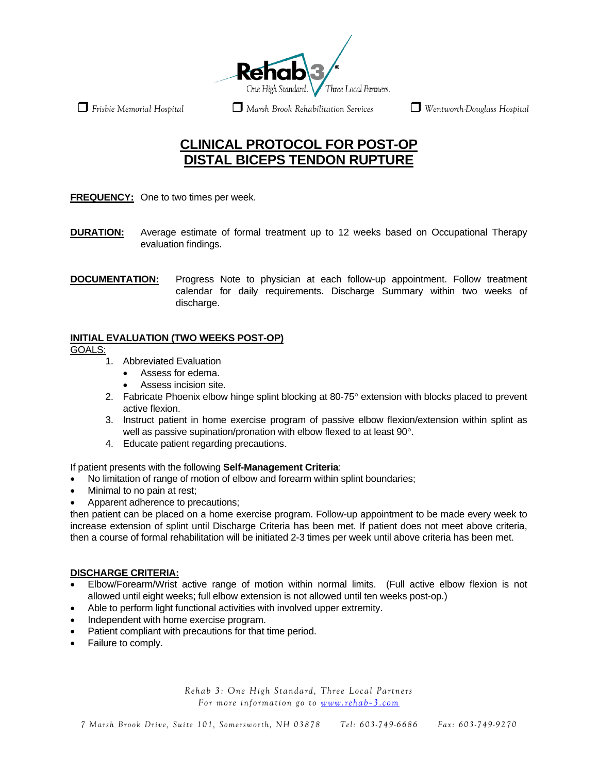

 *Frisbie Memorial Hospital Marsh Brook Rehabilitation Services Wentworth-Douglass Hospital* 

# **CLINICAL PROTOCOL FOR POST-OP DISTAL BICEPS TENDON RUPTURE**

**FREQUENCY:** One to two times per week.

- **DURATION:** Average estimate of formal treatment up to 12 weeks based on Occupational Therapy evaluation findings.
- **DOCUMENTATION:** Progress Note to physician at each follow-up appointment. Follow treatment calendar for daily requirements. Discharge Summary within two weeks of discharge.

# **INITIAL EVALUATION (TWO WEEKS POST-OP)**

GOALS:

- 1. Abbreviated Evaluation
	- Assess for edema.
	- Assess incision site.
- 2. Fabricate Phoenix elbow hinge splint blocking at 80-75° extension with blocks placed to prevent active flexion.
- 3. Instruct patient in home exercise program of passive elbow flexion/extension within splint as well as passive supination/pronation with elbow flexed to at least 90°.
- 4. Educate patient regarding precautions.

If patient presents with the following **Self-Management Criteria**:

- No limitation of range of motion of elbow and forearm within splint boundaries;
- Minimal to no pain at rest;
- Apparent adherence to precautions;

then patient can be placed on a home exercise program. Follow-up appointment to be made every week to increase extension of splint until Discharge Criteria has been met. If patient does not meet above criteria, then a course of formal rehabilitation will be initiated 2-3 times per week until above criteria has been met.

#### **DISCHARGE CRITERIA:**

- Elbow/Forearm/Wrist active range of motion within normal limits. (Full active elbow flexion is not allowed until eight weeks; full elbow extension is not allowed until ten weeks post-op.)
- Able to perform light functional activities with involved upper extremity.
- Independent with home exercise program.
- Patient compliant with precautions for that time period.
- Failure to comply.

*Rehab 3: One High Standard, Three Local Partners For more information go to [www.rehab](http://www.rehab-3.com/)-3.com*